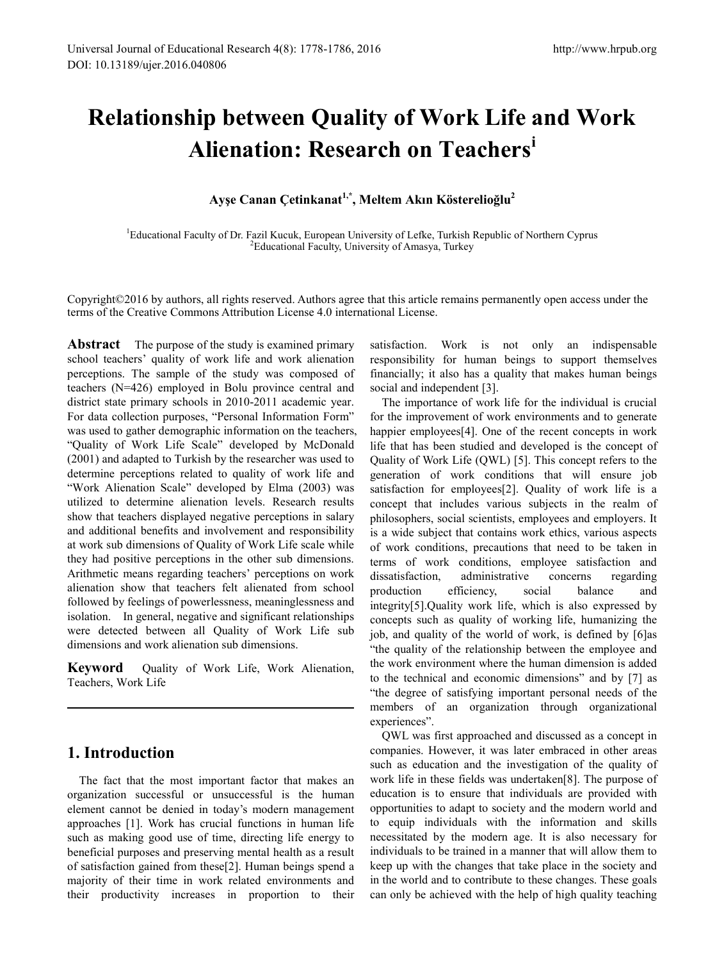# **Relationship between Quality of Work Life and Work Alienation: Research on Teachers[i](#page-8-0)**

**Ayşe Canan Çetinkanat1,\*, Meltem Akın Kösterelioğlu<sup>2</sup>**

<sup>1</sup>Educational Faculty of Dr. Fazil Kucuk, European University of Lefke, Turkish Republic of Northern Cyprus  $\frac{2 \times 1}{2}$  Educational Equality University of Amasya, Turkay Educational Faculty, University of Amasya, Turkey

Copyright©2016 by authors, all rights reserved. Authors agree that this article remains permanently open access under the terms of the Creative Commons Attribution License 4.0 international License.

**Abstract** The purpose of the study is examined primary school teachers' quality of work life and work alienation perceptions. The sample of the study was composed of teachers (N=426) employed in Bolu province central and district state primary schools in 2010-2011 academic year. For data collection purposes, "Personal Information Form" was used to gather demographic information on the teachers, "Quality of Work Life Scale" developed by McDonald (2001) and adapted to Turkish by the researcher was used to determine perceptions related to quality of work life and "Work Alienation Scale" developed by Elma (2003) was utilized to determine alienation levels. Research results show that teachers displayed negative perceptions in salary and additional benefits and involvement and responsibility at work sub dimensions of Quality of Work Life scale while they had positive perceptions in the other sub dimensions. Arithmetic means regarding teachers' perceptions on work alienation show that teachers felt alienated from school followed by feelings of powerlessness, meaninglessness and isolation. In general, negative and significant relationships were detected between all Quality of Work Life sub dimensions and work alienation sub dimensions.

**Keyword** Quality of Work Life, Work Alienation, Teachers, Work Life

# **1. Introduction**

The fact that the most important factor that makes an organization successful or unsuccessful is the human element cannot be denied in today's modern management approaches [1]. Work has crucial functions in human life such as making good use of time, directing life energy to beneficial purposes and preserving mental health as a result of satisfaction gained from these[2]. Human beings spend a majority of their time in work related environments and their productivity increases in proportion to their

satisfaction. Work is not only an indispensable responsibility for human beings to support themselves financially; it also has a quality that makes human beings social and independent [3].

The importance of work life for the individual is crucial for the improvement of work environments and to generate happier employees[4]. One of the recent concepts in work life that has been studied and developed is the concept of Quality of Work Life (QWL) [5]. This concept refers to the generation of work conditions that will ensure job satisfaction for employees[2]. Quality of work life is a concept that includes various subjects in the realm of philosophers, social scientists, employees and employers. It is a wide subject that contains work ethics, various aspects of work conditions, precautions that need to be taken in terms of work conditions, employee satisfaction and dissatisfaction, administrative concerns regarding production efficiency, social balance and integrity[5].Quality work life, which is also expressed by concepts such as quality of working life, humanizing the job, and quality of the world of work, is defined by [6]as "the quality of the relationship between the employee and the work environment where the human dimension is added to the technical and economic dimensions" and by [7] as "the degree of satisfying important personal needs of the members of an organization through organizational experiences".

QWL was first approached and discussed as a concept in companies. However, it was later embraced in other areas such as education and the investigation of the quality of work life in these fields was undertaken[8]. The purpose of education is to ensure that individuals are provided with opportunities to adapt to society and the modern world and to equip individuals with the information and skills necessitated by the modern age. It is also necessary for individuals to be trained in a manner that will allow them to keep up with the changes that take place in the society and in the world and to contribute to these changes. These goals can only be achieved with the help of high quality teaching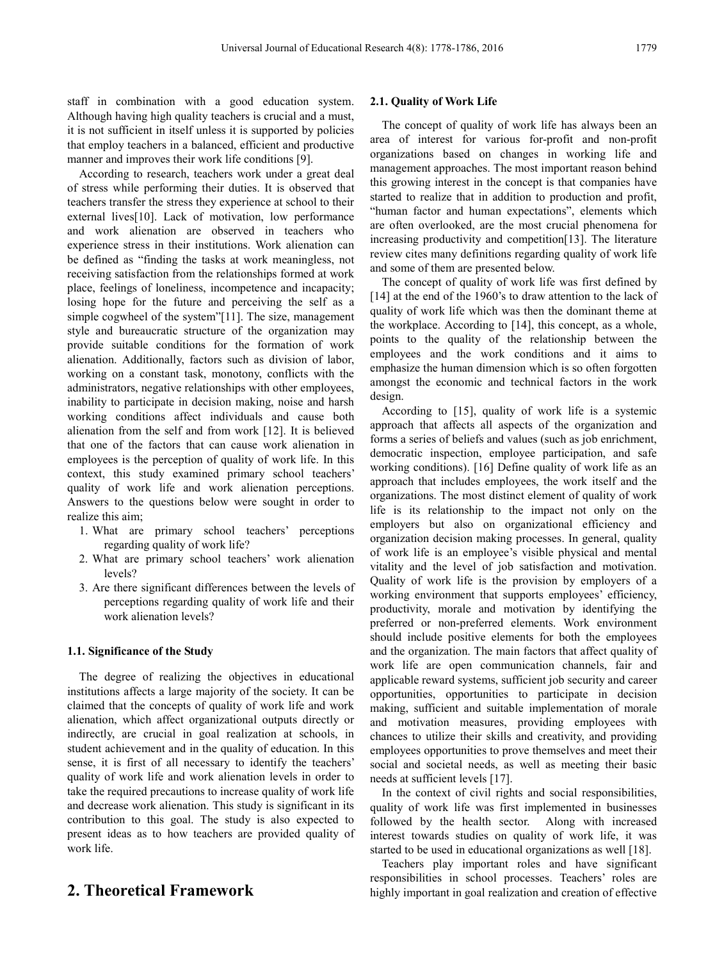staff in combination with a good education system. Although having high quality teachers is crucial and a must, it is not sufficient in itself unless it is supported by policies that employ teachers in a balanced, efficient and productive manner and improves their work life conditions [9].

According to research, teachers work under a great deal of stress while performing their duties. It is observed that teachers transfer the stress they experience at school to their external lives<sup>[10]</sup>. Lack of motivation, low performance and work alienation are observed in teachers who experience stress in their institutions. Work alienation can be defined as "finding the tasks at work meaningless, not receiving satisfaction from the relationships formed at work place, feelings of loneliness, incompetence and incapacity; losing hope for the future and perceiving the self as a simple cogwheel of the system"[11]. The size, management style and bureaucratic structure of the organization may provide suitable conditions for the formation of work alienation. Additionally, factors such as division of labor, working on a constant task, monotony, conflicts with the administrators, negative relationships with other employees, inability to participate in decision making, noise and harsh working conditions affect individuals and cause both alienation from the self and from work [12]. It is believed that one of the factors that can cause work alienation in employees is the perception of quality of work life. In this context, this study examined primary school teachers' quality of work life and work alienation perceptions. Answers to the questions below were sought in order to realize this aim;

- 1. What are primary school teachers' perceptions regarding quality of work life?
- 2. What are primary school teachers' work alienation levels?
- 3. Are there significant differences between the levels of perceptions regarding quality of work life and their work alienation levels?

## **1.1. Significance of the Study**

The degree of realizing the objectives in educational institutions affects a large majority of the society. It can be claimed that the concepts of quality of work life and work alienation, which affect organizational outputs directly or indirectly, are crucial in goal realization at schools, in student achievement and in the quality of education. In this sense, it is first of all necessary to identify the teachers' quality of work life and work alienation levels in order to take the required precautions to increase quality of work life and decrease work alienation. This study is significant in its contribution to this goal. The study is also expected to present ideas as to how teachers are provided quality of work life.

# **2. Theoretical Framework**

## **2.1. Quality of Work Life**

The concept of quality of work life has always been an area of interest for various for-profit and non-profit organizations based on changes in working life and management approaches. The most important reason behind this growing interest in the concept is that companies have started to realize that in addition to production and profit, "human factor and human expectations", elements which are often overlooked, are the most crucial phenomena for increasing productivity and competition[13]. The literature review cites many definitions regarding quality of work life and some of them are presented below.

The concept of quality of work life was first defined by [14] at the end of the 1960's to draw attention to the lack of quality of work life which was then the dominant theme at the workplace. According to [14], this concept, as a whole, points to the quality of the relationship between the employees and the work conditions and it aims to emphasize the human dimension which is so often forgotten amongst the economic and technical factors in the work design.

According to [15], quality of work life is a systemic approach that affects all aspects of the organization and forms a series of beliefs and values (such as job enrichment, democratic inspection, employee participation, and safe working conditions). [16] Define quality of work life as an approach that includes employees, the work itself and the organizations. The most distinct element of quality of work life is its relationship to the impact not only on the employers but also on organizational efficiency and organization decision making processes. In general, quality of work life is an employee's visible physical and mental vitality and the level of job satisfaction and motivation. Quality of work life is the provision by employers of a working environment that supports employees' efficiency, productivity, morale and motivation by identifying the preferred or non-preferred elements. Work environment should include positive elements for both the employees and the organization. The main factors that affect quality of work life are open communication channels, fair and applicable reward systems, sufficient job security and career opportunities, opportunities to participate in decision making, sufficient and suitable implementation of morale and motivation measures, providing employees with chances to utilize their skills and creativity, and providing employees opportunities to prove themselves and meet their social and societal needs, as well as meeting their basic needs at sufficient levels [17].

In the context of civil rights and social responsibilities, quality of work life was first implemented in businesses followed by the health sector. Along with increased interest towards studies on quality of work life, it was started to be used in educational organizations as well [18].

Teachers play important roles and have significant responsibilities in school processes. Teachers' roles are highly important in goal realization and creation of effective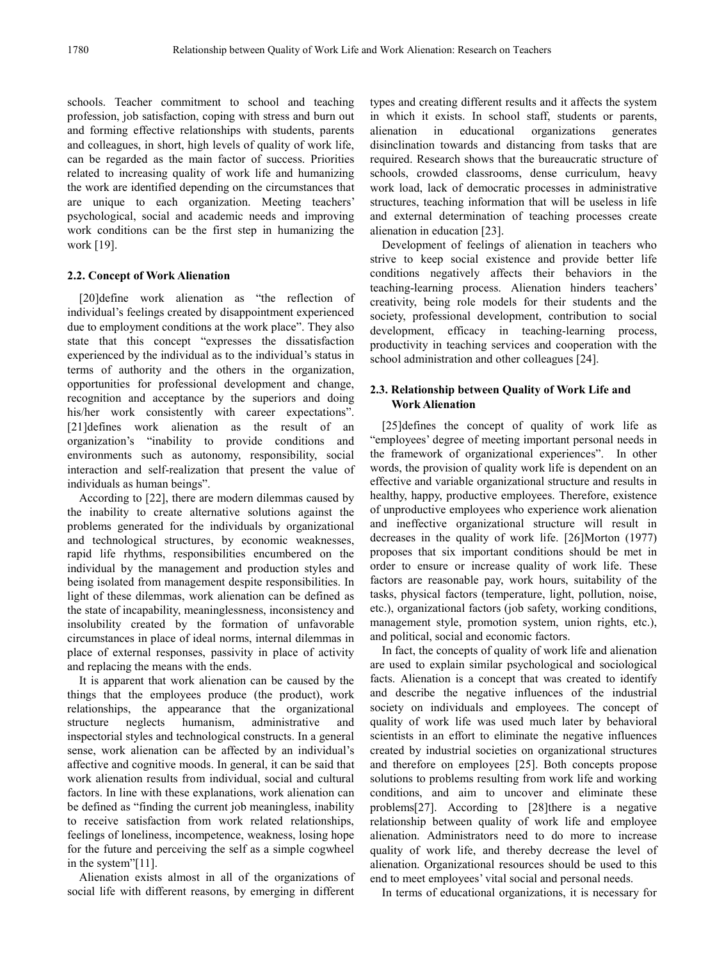schools. Teacher commitment to school and teaching profession, job satisfaction, coping with stress and burn out and forming effective relationships with students, parents and colleagues, in short, high levels of quality of work life, can be regarded as the main factor of success. Priorities related to increasing quality of work life and humanizing the work are identified depending on the circumstances that are unique to each organization. Meeting teachers' psychological, social and academic needs and improving work conditions can be the first step in humanizing the work [19].

# **2.2. Concept of Work Alienation**

[20]define work alienation as "the reflection of individual's feelings created by disappointment experienced due to employment conditions at the work place". They also state that this concept "expresses the dissatisfaction experienced by the individual as to the individual's status in terms of authority and the others in the organization, opportunities for professional development and change, recognition and acceptance by the superiors and doing his/her work consistently with career expectations". [21]defines work alienation as the result of an organization's "inability to provide conditions and environments such as autonomy, responsibility, social interaction and self-realization that present the value of individuals as human beings".

According to [22], there are modern dilemmas caused by the inability to create alternative solutions against the problems generated for the individuals by organizational and technological structures, by economic weaknesses, rapid life rhythms, responsibilities encumbered on the individual by the management and production styles and being isolated from management despite responsibilities. In light of these dilemmas, work alienation can be defined as the state of incapability, meaninglessness, inconsistency and insolubility created by the formation of unfavorable circumstances in place of ideal norms, internal dilemmas in place of external responses, passivity in place of activity and replacing the means with the ends.

It is apparent that work alienation can be caused by the things that the employees produce (the product), work relationships, the appearance that the organizational structure neglects humanism, administrative and inspectorial styles and technological constructs. In a general sense, work alienation can be affected by an individual's affective and cognitive moods. In general, it can be said that work alienation results from individual, social and cultural factors. In line with these explanations, work alienation can be defined as "finding the current job meaningless, inability to receive satisfaction from work related relationships, feelings of loneliness, incompetence, weakness, losing hope for the future and perceiving the self as a simple cogwheel in the system"[11].

Alienation exists almost in all of the organizations of social life with different reasons, by emerging in different

types and creating different results and it affects the system in which it exists. In school staff, students or parents, alienation in educational organizations generates disinclination towards and distancing from tasks that are required. Research shows that the bureaucratic structure of schools, crowded classrooms, dense curriculum, heavy work load, lack of democratic processes in administrative structures, teaching information that will be useless in life and external determination of teaching processes create alienation in education [23].

Development of feelings of alienation in teachers who strive to keep social existence and provide better life conditions negatively affects their behaviors in the teaching-learning process. Alienation hinders teachers' creativity, being role models for their students and the society, professional development, contribution to social development, efficacy in teaching-learning process, productivity in teaching services and cooperation with the school administration and other colleagues [24].

# **2.3. Relationship between Quality of Work Life and Work Alienation**

[25]defines the concept of quality of work life as "employees' degree of meeting important personal needs in the framework of organizational experiences". In other words, the provision of quality work life is dependent on an effective and variable organizational structure and results in healthy, happy, productive employees. Therefore, existence of unproductive employees who experience work alienation and ineffective organizational structure will result in decreases in the quality of work life. [26]Morton (1977) proposes that six important conditions should be met in order to ensure or increase quality of work life. These factors are reasonable pay, work hours, suitability of the tasks, physical factors (temperature, light, pollution, noise, etc.), organizational factors (job safety, working conditions, management style, promotion system, union rights, etc.), and political, social and economic factors.

In fact, the concepts of quality of work life and alienation are used to explain similar psychological and sociological facts. Alienation is a concept that was created to identify and describe the negative influences of the industrial society on individuals and employees. The concept of quality of work life was used much later by behavioral scientists in an effort to eliminate the negative influences created by industrial societies on organizational structures and therefore on employees [25]. Both concepts propose solutions to problems resulting from work life and working conditions, and aim to uncover and eliminate these problems[27]. According to [28]there is a negative relationship between quality of work life and employee alienation. Administrators need to do more to increase quality of work life, and thereby decrease the level of alienation. Organizational resources should be used to this end to meet employees' vital social and personal needs.

In terms of educational organizations, it is necessary for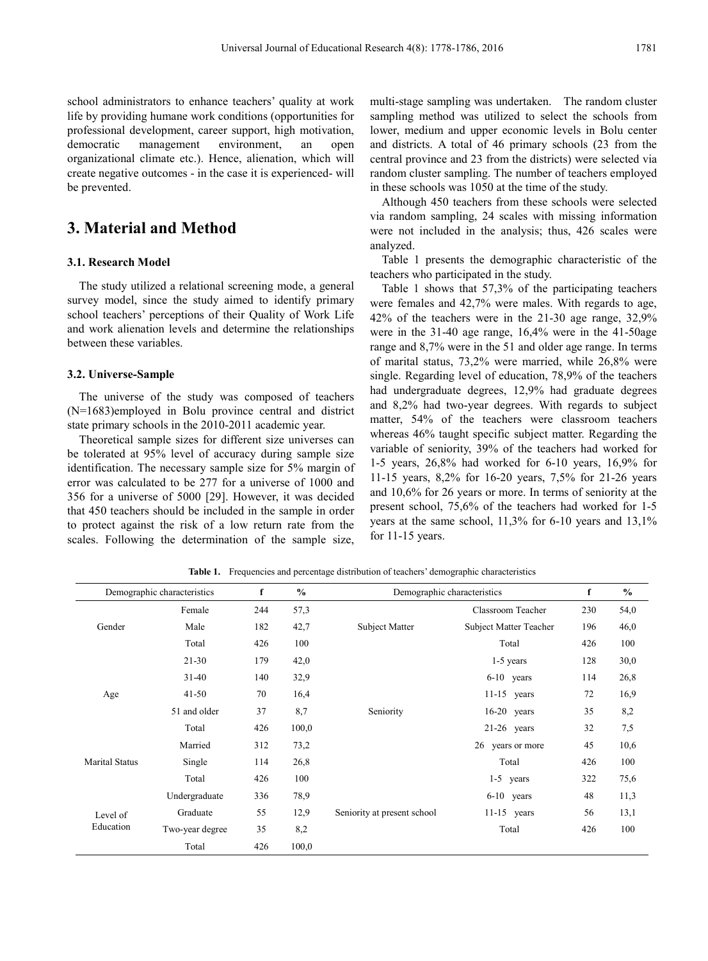school administrators to enhance teachers' quality at work life by providing humane work conditions (opportunities for professional development, career support, high motivation, democratic management environment, an open organizational climate etc.). Hence, alienation, which will create negative outcomes - in the case it is experienced- will be prevented.

# **3. Material and Method**

### **3.1. Research Model**

The study utilized a relational screening mode, a general survey model, since the study aimed to identify primary school teachers' perceptions of their Quality of Work Life and work alienation levels and determine the relationships between these variables.

#### **3.2. Universe-Sample**

The universe of the study was composed of teachers (N=1683)employed in Bolu province central and district state primary schools in the 2010-2011 academic year.

Theoretical sample sizes for different size universes can be tolerated at 95% level of accuracy during sample size identification. The necessary sample size for 5% margin of error was calculated to be 277 for a universe of 1000 and 356 for a universe of 5000 [29]. However, it was decided that 450 teachers should be included in the sample in order to protect against the risk of a low return rate from the scales. Following the determination of the sample size,

multi-stage sampling was undertaken. The random cluster sampling method was utilized to select the schools from lower, medium and upper economic levels in Bolu center and districts. A total of 46 primary schools (23 from the central province and 23 from the districts) were selected via random cluster sampling. The number of teachers employed in these schools was 1050 at the time of the study.

Although 450 teachers from these schools were selected via random sampling, 24 scales with missing information were not included in the analysis; thus, 426 scales were analyzed.

Table 1 presents the demographic characteristic of the teachers who participated in the study.

Table 1 shows that 57,3% of the participating teachers were females and 42,7% were males. With regards to age, 42% of the teachers were in the 21-30 age range, 32,9% were in the 31-40 age range, 16,4% were in the 41-50age range and 8,7% were in the 51 and older age range. In terms of marital status, 73,2% were married, while 26,8% were single. Regarding level of education, 78,9% of the teachers had undergraduate degrees, 12,9% had graduate degrees and 8,2% had two-year degrees. With regards to subject matter, 54% of the teachers were classroom teachers whereas 46% taught specific subject matter. Regarding the variable of seniority, 39% of the teachers had worked for 1-5 years, 26,8% had worked for 6-10 years, 16,9% for 11-15 years, 8,2% for 16-20 years, 7,5% for 21-26 years and 10,6% for 26 years or more. In terms of seniority at the present school, 75,6% of the teachers had worked for 1-5 years at the same school, 11,3% for 6-10 years and 13,1% for 11-15 years.

Demographic characteristics **f %** Demographic characteristics **f %** Gender Female 244 57,3 Subject Matter Classroom Teacher 230 54,0 Male 182 42,7 Subject Matter Subject Matter Teacher 196 46,0 Total 426 100 Total 426 100 Age 21-30 179 42,0 Seniority 1-5 years 128 30,0 31-40 140 32,9 6-10 years 114 26,8 41-50 70 16,4 11-15 years 72 16,9 51 and older 37 8,7 Seniority 16-20 years 35 8,2 Total 426 100,0 21-26 years 32 7,5 Marital Status Married 312 73,2 26 years or more 45 10,6 Single 114 26,8 Total 426 100 Total 426 100 Graduate 55 12,9 Seniority at present school 11-15 years 56 13,1 1-5 years 322 75,6 Level of Education Undergraduate 336 78,9 6-10 years 48 11,3 Two-year degree 35 8,2 Total 426 100 Total 426 100,0

**Table 1.** Frequencies and percentage distribution of teachers' demographic characteristics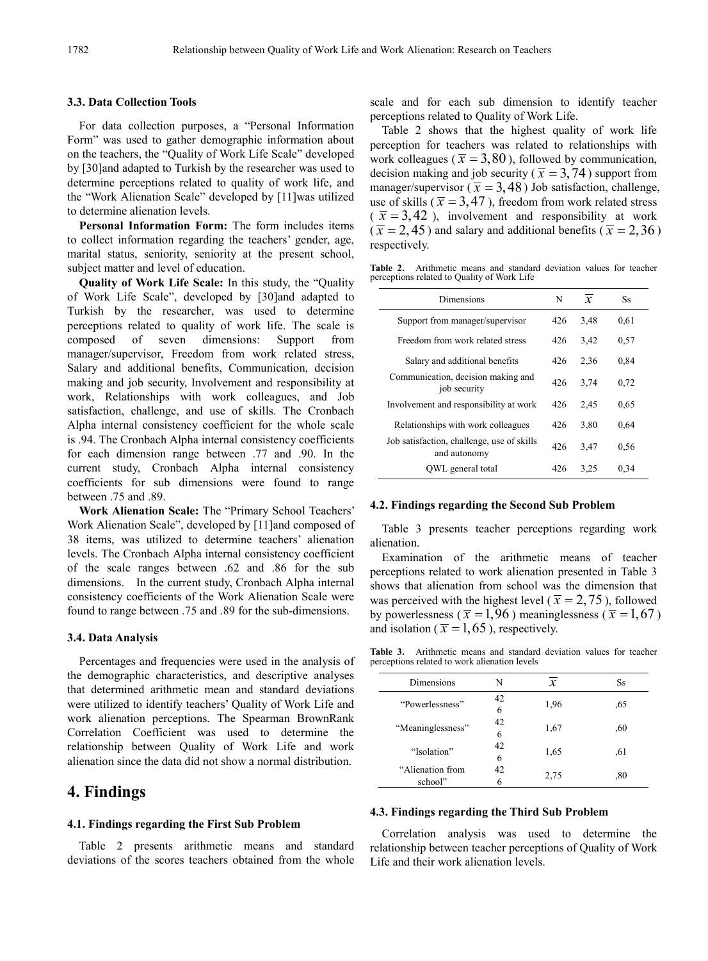## **3.3. Data Collection Tools**

For data collection purposes, a "Personal Information Form" was used to gather demographic information about on the teachers, the "Quality of Work Life Scale" developed by [30]and adapted to Turkish by the researcher was used to determine perceptions related to quality of work life, and the "Work Alienation Scale" developed by [11]was utilized to determine alienation levels.

**Personal Information Form:** The form includes items to collect information regarding the teachers' gender, age, marital status, seniority, seniority at the present school, subject matter and level of education.

**Quality of Work Life Scale:** In this study, the "Quality of Work Life Scale", developed by [30]and adapted to Turkish by the researcher, was used to determine perceptions related to quality of work life. The scale is composed of seven dimensions: Support from manager/supervisor, Freedom from work related stress, Salary and additional benefits, Communication, decision making and job security, Involvement and responsibility at work, Relationships with work colleagues, and Job satisfaction, challenge, and use of skills. The Cronbach Alpha internal consistency coefficient for the whole scale is .94. The Cronbach Alpha internal consistency coefficients for each dimension range between .77 and .90. In the current study, Cronbach Alpha internal consistency coefficients for sub dimensions were found to range between .75 and .89.

**Work Alienation Scale:** The "Primary School Teachers' Work Alienation Scale", developed by [11]and composed of 38 items, was utilized to determine teachers' alienation levels. The Cronbach Alpha internal consistency coefficient of the scale ranges between .62 and .86 for the sub dimensions. In the current study, Cronbach Alpha internal consistency coefficients of the Work Alienation Scale were found to range between .75 and .89 for the sub-dimensions.

## **3.4. Data Analysis**

Percentages and frequencies were used in the analysis of the demographic characteristics, and descriptive analyses that determined arithmetic mean and standard deviations were utilized to identify teachers' Quality of Work Life and work alienation perceptions. The Spearman BrownRank Correlation Coefficient was used to determine the relationship between Quality of Work Life and work alienation since the data did not show a normal distribution.

# **4. Findings**

### **4.1. Findings regarding the First Sub Problem**

Table 2 presents arithmetic means and standard deviations of the scores teachers obtained from the whole scale and for each sub dimension to identify teacher perceptions related to Quality of Work Life.

Table 2 shows that the highest quality of work life perception for teachers was related to relationships with work colleagues ( $\bar{x}$  = 3,80), followed by communication, decision making and job security ( $\bar{x}$  = 3,74) support from manager/supervisor ( $\bar{x}$  = 3,48) Job satisfaction, challenge, use of skills ( $\bar{x}$  = 3,47), freedom from work related stress  $\overline{x}$  = 3,42 ), involvement and responsibility at work  $(\bar{x} = 2, 45)$  and salary and additional benefits ( $\bar{x} = 2, 36$ ) respectively.

**Table 2.** Arithmetic means and standard deviation values for teacher perceptions related to Quality of Work Life

| Dimensions                                                 | N   | $\overline{x}$ | <b>Ss</b> |
|------------------------------------------------------------|-----|----------------|-----------|
| Support from manager/supervisor                            | 426 | 3,48           | 0.61      |
| Freedom from work related stress                           | 426 | 3,42           | 0,57      |
| Salary and additional benefits                             | 426 | 2,36           | 0.84      |
| Communication, decision making and<br>job security         | 426 | 3,74           | 0.72      |
| Involvement and responsibility at work                     | 426 | 2,45           | 0.65      |
| Relationships with work colleagues                         | 426 | 3,80           | 0.64      |
| Job satisfaction, challenge, use of skills<br>and autonomy | 426 | 3.47           | 0.56      |
| OWL general total                                          | 426 | 3.25           | 0.34      |

#### **4.2. Findings regarding the Second Sub Problem**

Table 3 presents teacher perceptions regarding work alienation.

Examination of the arithmetic means of teacher perceptions related to work alienation presented in Table 3 shows that alienation from school was the dimension that was perceived with the highest level ( $\bar{x}$  = 2,75), followed by powerlessness ( $\bar{x}$  = 1,96) meaninglessness ( $\bar{x}$  = 1,67) and isolation ( $\bar{x}$  = 1,65), respectively.

**Table 3.** Arithmetic means and standard deviation values for teacher perceptions related to work alienation levels

| Dimensions                  | N       | $\mathbf{x}$ | Ss  |
|-----------------------------|---------|--------------|-----|
| "Powerlessness"             | 42<br>6 | 1,96         | ,65 |
| "Meaninglessness"           | 42<br>6 | 1,67         | ,60 |
| "Isolation"                 | 42<br>6 | 1,65         | .61 |
| "Alienation from<br>school" | 42      | 2.75         | ,80 |

## **4.3. Findings regarding the Third Sub Problem**

Correlation analysis was used to determine the relationship between teacher perceptions of Quality of Work Life and their work alienation levels.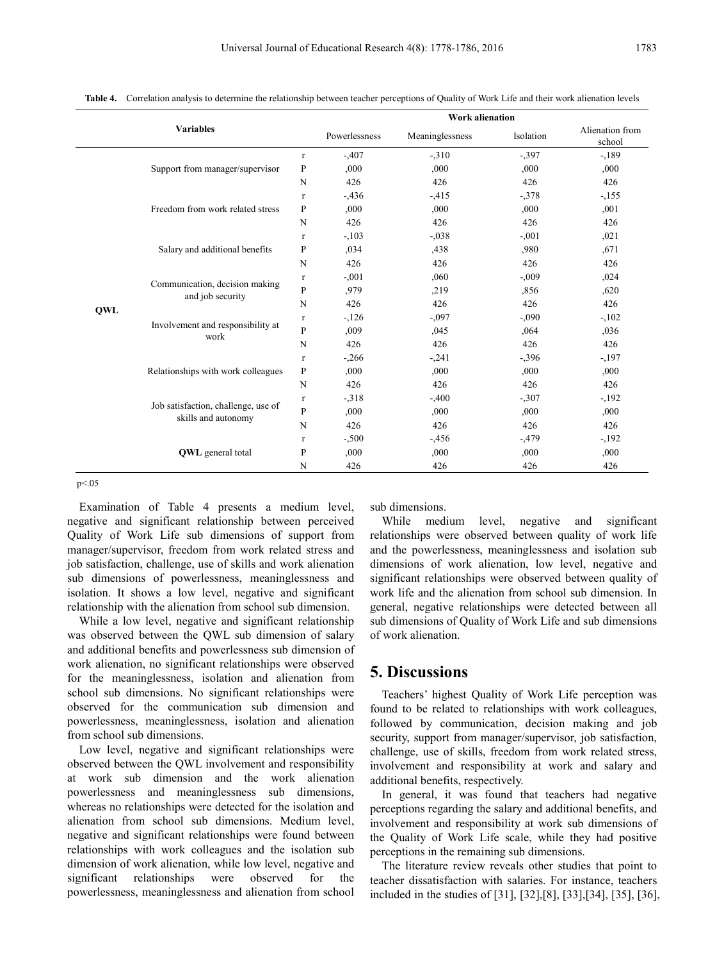|                                                                                                                                                                                |                |               | <b>Work alienation</b> |           |                           |        |
|--------------------------------------------------------------------------------------------------------------------------------------------------------------------------------|----------------|---------------|------------------------|-----------|---------------------------|--------|
| <b>Variables</b>                                                                                                                                                               |                | Powerlessness | Meaninglessness        | Isolation | Alienation from<br>school |        |
| Support from manager/supervisor<br>Freedom from work related stress                                                                                                            | $\mathbf{r}$   | $-0.407$      | $-310$                 | $-397$    | $-189$                    |        |
|                                                                                                                                                                                | ${\bf P}$      | ,000          | ,000.                  | ,000      | ,000                      |        |
|                                                                                                                                                                                | N              | 426           | 426                    | 426       | 426                       |        |
|                                                                                                                                                                                |                | $\Gamma$      | $-0.436$               | $-415$    | $-378$                    | $-155$ |
|                                                                                                                                                                                | ${\bf P}$      | ,000          | ,000                   | ,000      | ,001                      |        |
|                                                                                                                                                                                | N              | 426           | 426                    | 426       | 426                       |        |
| Salary and additional benefits<br>Communication, decision making<br>and job security<br>QWL<br>Involvement and responsibility at<br>work<br>Relationships with work colleagues | $\mathbf{r}$   | $-.103$       | $-0.038$               | $-.001$   | ,021                      |        |
|                                                                                                                                                                                | P              | ,034          | ,438                   | ,980      | .671                      |        |
|                                                                                                                                                                                | N              | 426           | 426                    | 426       | 426                       |        |
|                                                                                                                                                                                | $\mathbf{r}$   | $-0.001$      | ,060                   | $-.009$   | ,024                      |        |
|                                                                                                                                                                                | ${\bf P}$      | ,979          | ,219                   | ,856      | ,620                      |        |
|                                                                                                                                                                                | N              | 426           | 426                    | 426       | 426                       |        |
|                                                                                                                                                                                |                | $\Gamma$      | $-126$                 | $-.097$   | $-0.090$                  | $-102$ |
|                                                                                                                                                                                | $\overline{P}$ | ,009          | ,045                   | ,064      | ,036                      |        |
|                                                                                                                                                                                | N              | 426           | 426                    | 426       | 426                       |        |
|                                                                                                                                                                                |                | $\Gamma$      | $-266$                 | $-.241$   | $-396$                    | $-197$ |
|                                                                                                                                                                                | $\mathbf{P}$   | ,000,         | ,000                   | ,000      | ,000                      |        |
|                                                                                                                                                                                | N              | 426           | 426                    | 426       | 426                       |        |
| Job satisfaction, challenge, use of<br>skills and autonomy                                                                                                                     | $\Gamma$       | $-318$        | $-0.400$               | $-307$    | $-192$                    |        |
|                                                                                                                                                                                | $\mathbf{P}$   | ,000          | ,000                   | ,000      | ,000                      |        |
|                                                                                                                                                                                | N              | 426           | 426                    | 426       | 426                       |        |
| <b>QWL</b> general total                                                                                                                                                       | $\Gamma$       | $-.500$       | $-456$                 | $-0.479$  | $-192$                    |        |
|                                                                                                                                                                                | $\mathbf{P}$   | ,000          | ,000                   | ,000      | ,000                      |        |
|                                                                                                                                                                                | N              | 426           | 426                    | 426       | 426                       |        |

**Table 4.** Correlation analysis to determine the relationship between teacher perceptions of Quality of Work Life and their work alienation levels

p<.05

Examination of Table 4 presents a medium level, negative and significant relationship between perceived Quality of Work Life sub dimensions of support from manager/supervisor, freedom from work related stress and job satisfaction, challenge, use of skills and work alienation sub dimensions of powerlessness, meaninglessness and isolation. It shows a low level, negative and significant relationship with the alienation from school sub dimension.

While a low level, negative and significant relationship was observed between the QWL sub dimension of salary and additional benefits and powerlessness sub dimension of work alienation, no significant relationships were observed for the meaninglessness, isolation and alienation from school sub dimensions. No significant relationships were observed for the communication sub dimension and powerlessness, meaninglessness, isolation and alienation from school sub dimensions.

Low level, negative and significant relationships were observed between the QWL involvement and responsibility at work sub dimension and the work alienation powerlessness and meaninglessness sub dimensions, whereas no relationships were detected for the isolation and alienation from school sub dimensions. Medium level, negative and significant relationships were found between relationships with work colleagues and the isolation sub dimension of work alienation, while low level, negative and significant relationships were observed for the powerlessness, meaninglessness and alienation from school

sub dimensions.

While medium level, negative and significant relationships were observed between quality of work life and the powerlessness, meaninglessness and isolation sub dimensions of work alienation, low level, negative and significant relationships were observed between quality of work life and the alienation from school sub dimension. In general, negative relationships were detected between all sub dimensions of Quality of Work Life and sub dimensions of work alienation.

# **5. Discussions**

Teachers' highest Quality of Work Life perception was found to be related to relationships with work colleagues, followed by communication, decision making and job security, support from manager/supervisor, job satisfaction, challenge, use of skills, freedom from work related stress, involvement and responsibility at work and salary and additional benefits, respectively.

In general, it was found that teachers had negative perceptions regarding the salary and additional benefits, and involvement and responsibility at work sub dimensions of the Quality of Work Life scale, while they had positive perceptions in the remaining sub dimensions.

The literature review reveals other studies that point to teacher dissatisfaction with salaries. For instance, teachers included in the studies of [31], [32],[8], [33],[34], [35], [36],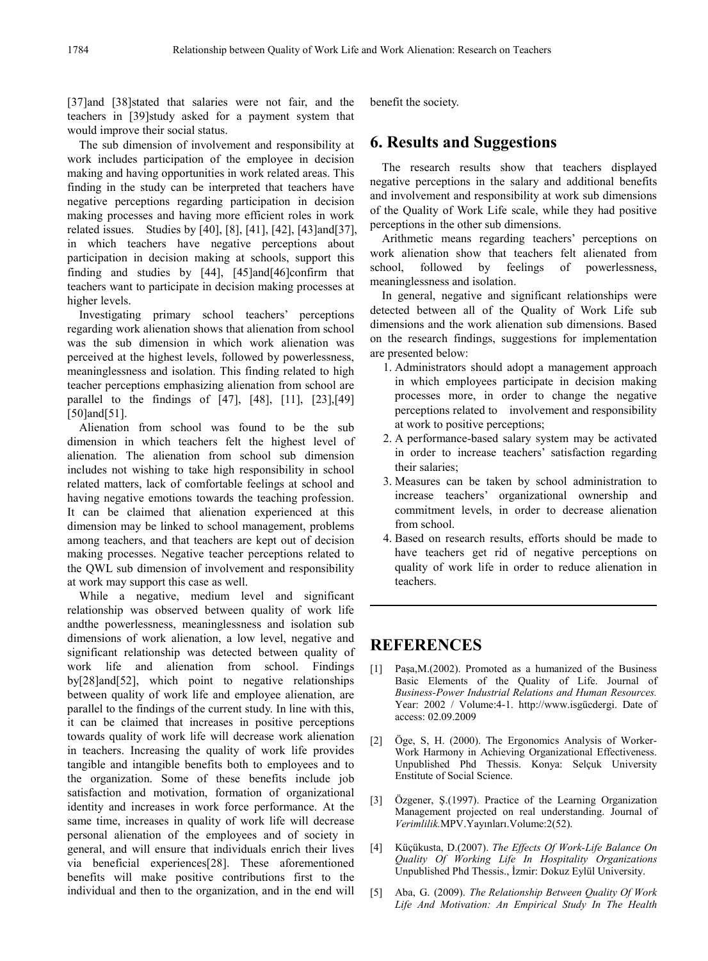[37]and [38]stated that salaries were not fair, and the teachers in [39]study asked for a payment system that would improve their social status.

The sub dimension of involvement and responsibility at work includes participation of the employee in decision making and having opportunities in work related areas. This finding in the study can be interpreted that teachers have negative perceptions regarding participation in decision making processes and having more efficient roles in work related issues. Studies by [40], [8], [41], [42], [43]and[37], in which teachers have negative perceptions about participation in decision making at schools, support this finding and studies by [44], [45]and[46]confirm that teachers want to participate in decision making processes at higher levels.

Investigating primary school teachers' perceptions regarding work alienation shows that alienation from school was the sub dimension in which work alienation was perceived at the highest levels, followed by powerlessness, meaninglessness and isolation. This finding related to high teacher perceptions emphasizing alienation from school are parallel to the findings of [47], [48], [11], [23],[49] [50] and [51].

Alienation from school was found to be the sub dimension in which teachers felt the highest level of alienation. The alienation from school sub dimension includes not wishing to take high responsibility in school related matters, lack of comfortable feelings at school and having negative emotions towards the teaching profession. It can be claimed that alienation experienced at this dimension may be linked to school management, problems among teachers, and that teachers are kept out of decision making processes. Negative teacher perceptions related to the QWL sub dimension of involvement and responsibility at work may support this case as well.

While a negative, medium level and significant relationship was observed between quality of work life andthe powerlessness, meaninglessness and isolation sub dimensions of work alienation, a low level, negative and significant relationship was detected between quality of work life and alienation from school. Findings by[28]and[52], which point to negative relationships between quality of work life and employee alienation, are parallel to the findings of the current study. In line with this, it can be claimed that increases in positive perceptions towards quality of work life will decrease work alienation in teachers. Increasing the quality of work life provides tangible and intangible benefits both to employees and to the organization. Some of these benefits include job satisfaction and motivation, formation of organizational identity and increases in work force performance. At the same time, increases in quality of work life will decrease personal alienation of the employees and of society in general, and will ensure that individuals enrich their lives via beneficial experiences[28]. These aforementioned benefits will make positive contributions first to the individual and then to the organization, and in the end will benefit the society.

# **6. Results and Suggestions**

The research results show that teachers displayed negative perceptions in the salary and additional benefits and involvement and responsibility at work sub dimensions of the Quality of Work Life scale, while they had positive perceptions in the other sub dimensions.

Arithmetic means regarding teachers' perceptions on work alienation show that teachers felt alienated from school, followed by feelings of powerlessness, meaninglessness and isolation.

In general, negative and significant relationships were detected between all of the Quality of Work Life sub dimensions and the work alienation sub dimensions. Based on the research findings, suggestions for implementation are presented below:

- 1. Administrators should adopt a management approach in which employees participate in decision making processes more, in order to change the negative perceptions related to involvement and responsibility at work to positive perceptions;
- 2. A performance-based salary system may be activated in order to increase teachers' satisfaction regarding their salaries;
- 3. Measures can be taken by school administration to increase teachers' organizational ownership and commitment levels, in order to decrease alienation from school.
- 4. Based on research results, efforts should be made to have teachers get rid of negative perceptions on quality of work life in order to reduce alienation in teachers.

# **REFERENCES**

- [1] Paşa, M. (2002). Promoted as a humanized of the Business Basic Elements of the Quality of Life. Journal of *Business-Power Industrial Relations and Human Resources.* Year: 2002 / Volume:4-1. http://www.isgücdergi. Date of access: 02.09.2009
- [2] Öge, S, H. (2000). The Ergonomics Analysis of Worker-Work Harmony in Achieving Organizational Effectiveness. Unpublished Phd Thessis. Konya: Selçuk University Enstitute of Social Science.
- [3] Özgener, Ş.(1997). Practice of the Learning Organization Management projected on real understanding. Journal of *Verimlilik.*MPV.Yayınları.Volume:2(52).
- [4] Küçükusta, D.(2007). *The Effects Of Work-Life Balance On Quality Of Working Life In Hospitality Organizations* Unpublished Phd Thessis., İzmir: Dokuz Eylül University.
- [5] Aba, G. (2009). *The Relationship Between Quality Of Work Life And Motivation: An Empirical Study In The Health*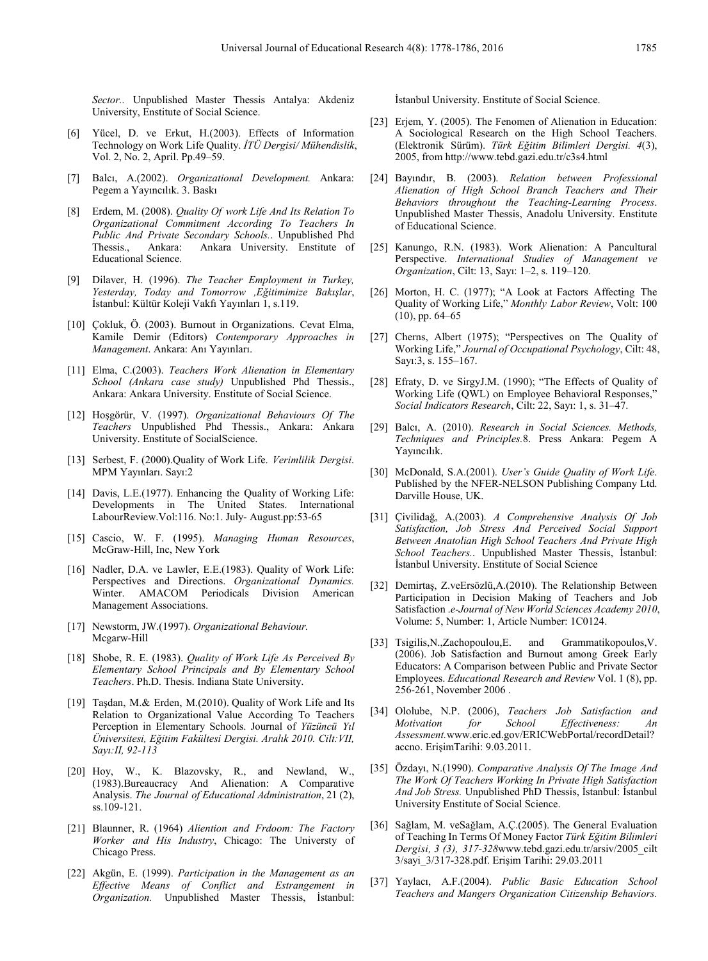*Sector..* Unpublished Master Thessis Antalya: Akdeniz University, Enstitute of Social Science.

- [6] Yücel, D. ve Erkut, H.(2003). Effects of Information Technology on Work Life Quality. *İTÜ Dergisi/ Mühendislik*, Vol. 2, No. 2, April. Pp.49–59.
- [7] Balcı, A.(2002). *Organizational Development.* Ankara: Pegem a Yayıncılık. 3. Baskı
- [8] Erdem, M. (2008). *Quality Of work Life And Its Relation To Organizational Commitment According To Teachers In Public And Private Secondary Schools.*. Unpublished Phd Thessis., Ankara: Ankara University. Enstitute of Educational Science.
- [9] Dilaver, H. (1996). *The Teacher Employment in Turkey, Yesterday, Today and Tomorrow ,Eğitimimize Bakışlar*, İstanbul: Kültür Koleji Vakfı Yayınları 1, s.119.
- [10] Çokluk, Ö. (2003). Burnout in Organizations. Cevat Elma, Kamile Demir (Editors) *Contemporary Approaches in Management*. Ankara: Anı Yayınları.
- [11] Elma, C.(2003). *Teachers Work Alienation in Elementary School (Ankara case study)* Unpublished Phd Thessis., Ankara: Ankara University. Enstitute of Social Science.
- [12] Hoşgörür, V. (1997). *Organizational Behaviours Of The Teachers* Unpublished Phd Thessis., Ankara: Ankara University. Enstitute of SocialScience.
- [13] Serbest, F. (2000).Quality of Work Life. *Verimlilik Dergisi*. MPM Yayınları. Sayı:2
- [14] Davis, L.E.(1977). Enhancing the Quality of Working Life: Developments in The United States. International LabourReview.Vol:116. No:1. July- August.pp:53-65
- [15] Cascio, W. F. (1995). *Managing Human Resources*, McGraw-Hill, Inc, New York
- [16] Nadler, D.A. ve Lawler, E.E.(1983). Quality of Work Life: Perspectives and Directions. *Organizational Dynamics.* Winter. AMACOM Periodicals Division American Management Associations.
- [17] Newstorm, JW.(1997). *Organizational Behaviour.* Mcgarw-Hill
- [18] Shobe, R. E. (1983). *Quality of Work Life As Perceived By Elementary School Principals and By Elementary School Teachers*. Ph.D. Thesis. Indiana State University.
- [19] Taşdan, M.& Erden, M.(2010). Quality of Work Life and Its Relation to Organizational Value According To Teachers Perception in Elementary Schools. Journal of *Yüzüncü Yıl Üniversitesi, Eğitim Fakültesi Dergisi. Aralık 2010. Cilt:VII, Sayı:II, 92-113*
- [20] Hoy, W., K. Blazovsky, R., and Newland, W., (1983).Bureaucracy And Alienation: A Comparative Analysis. *The Journal of Educational Administration*, 21 (2), ss.109-121.
- [21] Blaunner, R. (1964) *Aliention and Frdoom: The Factory Worker and His Industry*, Chicago: The Universty of Chicago Press.
- [22] Akgün, E. (1999). *Participation in the Management as an Effective Means of Conflict and Estrangement in Organization.* Unpublished Master Thessis, İstanbul:

İstanbul University. Enstitute of Social Science.

- [23] Erjem, Y. (2005). The Fenomen of Alienation in Education: A Sociological Research on the High School Teachers. (Elektronik Sürüm). *Türk Eğitim Bilimleri Dergisi. 4*(3), 2005, from http://www.tebd.gazi.edu.tr/c3s4.html
- [24] Bayındır, B. (2003). *Relation between Professional Alienation of High School Branch Teachers and Their Behaviors throughout the Teaching-Learning Process*. Unpublished Master Thessis, Anadolu University. Enstitute of Educational Science.
- [25] Kanungo, R.N. (1983). Work Alienation: A Pancultural Perspective. *International Studies of Management ve Organization*, Cilt: 13, Sayı: 1–2, s. 119–120.
- [26] Morton, H. C. (1977); "A Look at Factors Affecting The Quality of Working Life," *Monthly Labor Review*, Volt: 100  $(10)$ , pp. 64–65
- [27] Cherns, Albert (1975); "Perspectives on The Quality of Working Life," *Journal of Occupational Psychology*, Cilt: 48, Sayı:3, s. 155–167.
- [28] Efraty, D. ve SirgyJ.M. (1990); "The Effects of Quality of Working Life (QWL) on Employee Behavioral Responses," *Social Indicators Research*, Cilt: 22, Sayı: 1, s. 31–47.
- [29] Balcı, A. (2010). *Research in Social Sciences. Methods, Techniques and Principles.*8. Press Ankara: Pegem A Yayıncılık.
- [30] McDonald, S.A.(2001). *User's Guide Quality of Work Life*. Published by the NFER-NELSON Publishing Company Ltd. Darville House, UK.
- [31] Çivilidağ, A.(2003). *A Comprehensive Analysis Of Job Satisfaction, Job Stress And Perceived Social Support Between Anatolian High School Teachers And Private High School Teachers.*. Unpublished Master Thessis, İstanbul: İstanbul University. Enstitute of Social Science
- [32] Demirtas, Z.veErsözlü, A. (2010). The Relationship Between Participation in Decision Making of Teachers and Job Satisfaction .*e-Journal of New World Sciences Academy 2010*, Volume: 5, Number: 1, Article Number: 1C0124.
- [33] Tsigilis, N., Zachopoulou, E. and Grammatikopoulos, V. (2006). Job Satisfaction and Burnout among Greek Early Educators: A Comparison between Public and Private Sector Employees. *Educational Research and Review* Vol. 1 (8), pp. 256-261, November 2006 .
- [34] Ololube, N.P. (2006), *Teachers Job Satisfaction and Motivation for School Effectiveness: An Assessment.*www.eric.ed.gov/ERICWebPortal/recordDetail? accno. ErişimTarihi: 9.03.2011.
- [35] Özdayı, N.(1990). *Comparative Analysis Of The Image And The Work Of Teachers Working In Private High Satisfaction And Job Stress.* Unpublished PhD Thessis, İstanbul: İstanbul University Enstitute of Social Science.
- [36] Sağlam, M. veSağlam, A.Ç.(2005). The General Evaluation of Teaching In Terms Of Money Factor *Türk Eğitim Bilimleri Dergisi, 3 (3), 317-328*www.tebd.gazi.edu.tr/arsiv/2005\_cilt 3/sayi\_3/317-328.pdf. Erişim Tarihi: 29.03.2011
- [37] Yaylacı, A.F.(2004). *Public Basic Education School Teachers and Mangers Organization Citizenship Behaviors.*